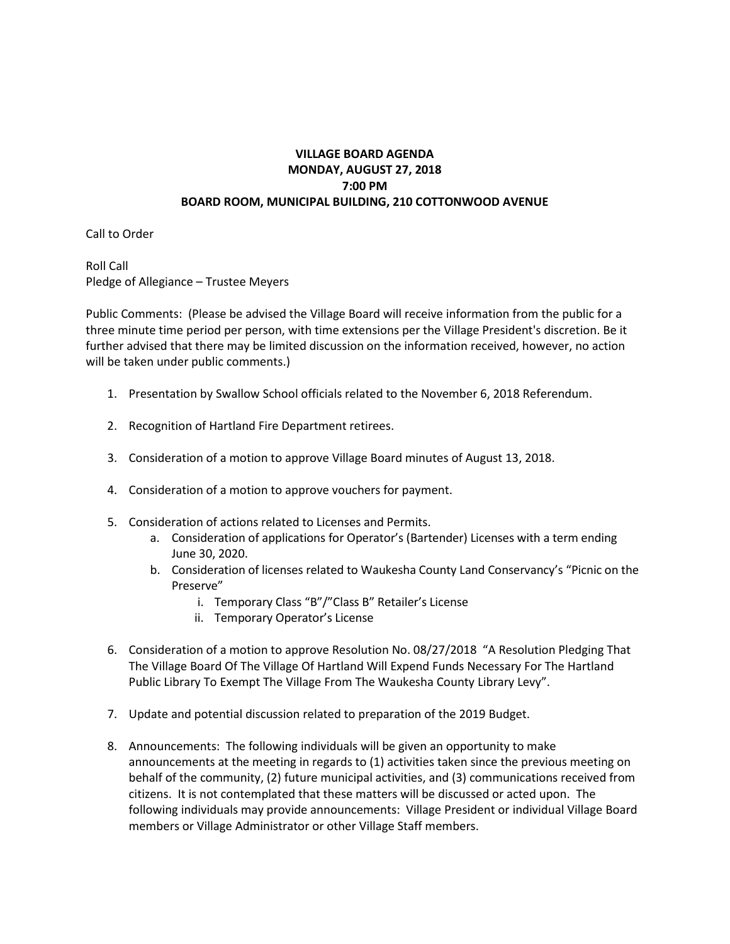## **VILLAGE BOARD AGENDA MONDAY, AUGUST 27, 2018 7:00 PM BOARD ROOM, MUNICIPAL BUILDING, 210 COTTONWOOD AVENUE**

Call to Order

Roll Call Pledge of Allegiance – Trustee Meyers

Public Comments: (Please be advised the Village Board will receive information from the public for a three minute time period per person, with time extensions per the Village President's discretion. Be it further advised that there may be limited discussion on the information received, however, no action will be taken under public comments.)

- 1. Presentation by Swallow School officials related to the November 6, 2018 Referendum.
- 2. Recognition of Hartland Fire Department retirees.
- 3. Consideration of a motion to approve Village Board minutes of August 13, 2018.
- 4. Consideration of a motion to approve vouchers for payment.
- 5. Consideration of actions related to Licenses and Permits.
	- a. Consideration of applications for Operator's (Bartender) Licenses with a term ending June 30, 2020.
	- b. Consideration of licenses related to Waukesha County Land Conservancy's "Picnic on the Preserve"
		- i. Temporary Class "B"/"Class B" Retailer's License
		- ii. Temporary Operator's License
- 6. Consideration of a motion to approve Resolution No. 08/27/2018 "A Resolution Pledging That The Village Board Of The Village Of Hartland Will Expend Funds Necessary For The Hartland Public Library To Exempt The Village From The Waukesha County Library Levy".
- 7. Update and potential discussion related to preparation of the 2019 Budget.
- 8. Announcements: The following individuals will be given an opportunity to make announcements at the meeting in regards to (1) activities taken since the previous meeting on behalf of the community, (2) future municipal activities, and (3) communications received from citizens. It is not contemplated that these matters will be discussed or acted upon. The following individuals may provide announcements: Village President or individual Village Board members or Village Administrator or other Village Staff members.